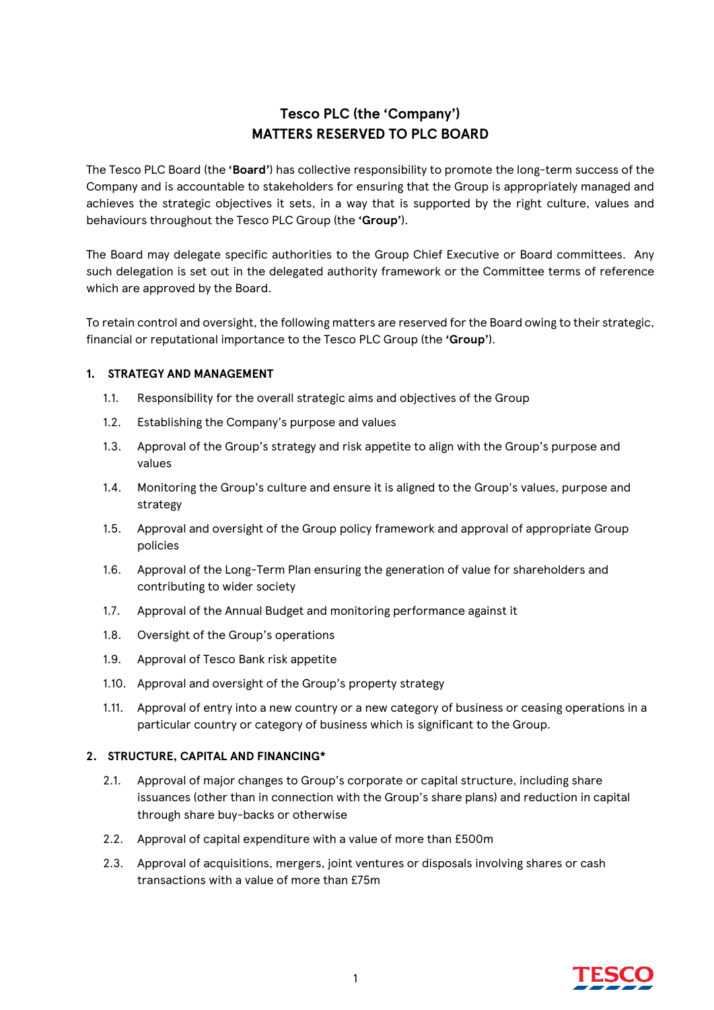# **Tesco PLC (the 'Company') MATTERS RESERVED TO PLC BOARD**

The Tesco PLC Board (the **'Board'**) has collective responsibility to promote the long-term success of the Company and is accountable to stakeholders for ensuring that the Group is appropriately managed and achieves the strategic objectives it sets, in a way that is supported by the right culture, values and behaviours throughout the Tesco PLC Group (the **'Group'**).

The Board may delegate specific authorities to the Group Chief Executive or Board committees. Any such delegation is set out in the delegated authority framework or the Committee terms of reference which are approved by the Board.

To retain control and oversight, the following matters are reserved for the Board owing to their strategic, financial or reputational importance to the Tesco PLC Group (the **'Group'**).

## **1. STRATEGY AND MANAGEMENT**

- 1.1. Responsibility for the overall strategic aims and objectives of the Group
- 1.2. Establishing the Company's purpose and values
- 1.3. Approval of the Group's strategy and risk appetite to align with the Group's purpose and values
- 1.4. Monitoring the Group's culture and ensure it is aligned to the Group's values, purpose and strategy
- 1.5. Approval and oversight of the Group policy framework and approval of appropriate Group policies
- 1.6. Approval of the Long-Term Plan ensuring the generation of value for shareholders and contributing to wider society
- 1.7. Approval of the Annual Budget and monitoring performance against it
- 1.8. Oversight of the Group's operations
- 1.9. Approval of Tesco Bank risk appetite
- 1.10. Approval and oversight of the Group's property strategy
- 1.11. Approval of entry into a new country or a new category of business or ceasing operations in a particular country or category of business which is significant to the Group.

## **2. STRUCTURE, CAPITAL AND FINANCING\***

- 2.1. Approval of major changes to Group's corporate or capital structure, including share issuances (other than in connection with the Group's share plans) and reduction in capital through share buy-backs or otherwise
- 2.2. Approval of capital expenditure with a value of more than £500m
- 2.3. Approval of acquisitions, mergers, joint ventures or disposals involving shares or cash transactions with a value of more than £75m

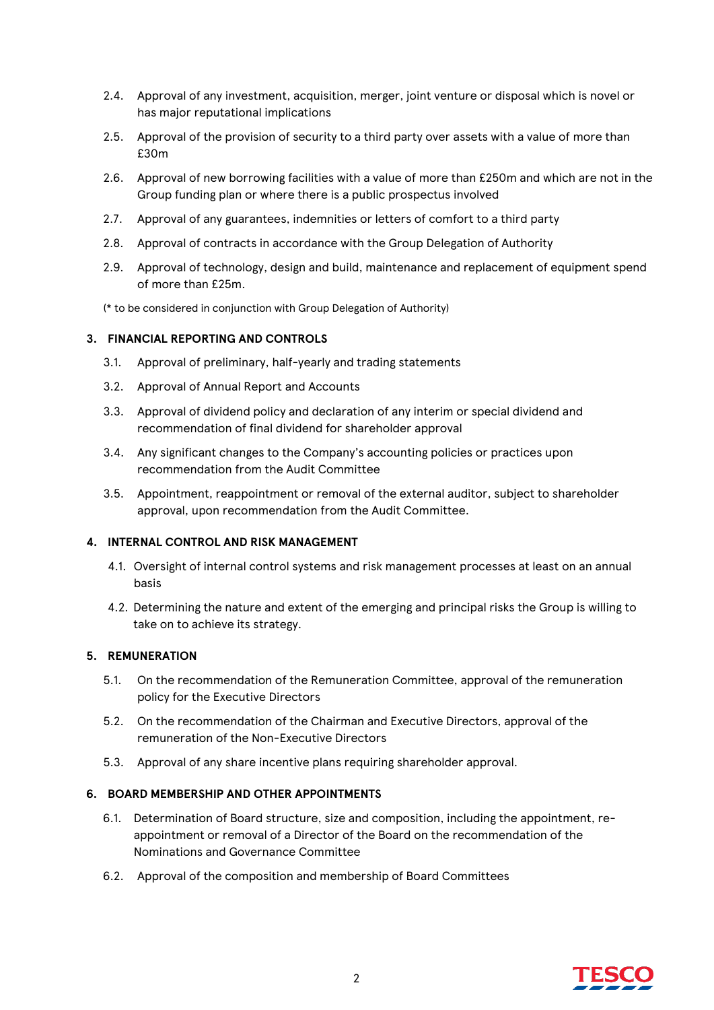- 2.4. Approval of any investment, acquisition, merger, joint venture or disposal which is novel or has major reputational implications
- 2.5. Approval of the provision of security to a third party over assets with a value of more than £30m
- 2.6. Approval of new borrowing facilities with a value of more than £250m and which are not in the Group funding plan or where there is a public prospectus involved
- 2.7. Approval of any guarantees, indemnities or letters of comfort to a third party
- 2.8. Approval of contracts in accordance with the Group Delegation of Authority
- 2.9. Approval of technology, design and build, maintenance and replacement of equipment spend of more than £25m.

(\* to be considered in conjunction with Group Delegation of Authority)

## **3. FINANCIAL REPORTING AND CONTROLS**

- 3.1. Approval of preliminary, half-yearly and trading statements
- 3.2. Approval of Annual Report and Accounts
- 3.3. Approval of dividend policy and declaration of any interim or special dividend and recommendation of final dividend for shareholder approval
- 3.4. Any significant changes to the Company's accounting policies or practices upon recommendation from the Audit Committee
- 3.5. Appointment, reappointment or removal of the external auditor, subject to shareholder approval, upon recommendation from the Audit Committee.

### **4. INTERNAL CONTROL AND RISK MANAGEMENT**

- 4.1. Oversight of internal control systems and risk management processes at least on an annual basis
- 4.2. Determining the nature and extent of the emerging and principal risks the Group is willing to take on to achieve its strategy.

### **5. REMUNERATION**

- 5.1. On the recommendation of the Remuneration Committee, approval of the remuneration policy for the Executive Directors
- 5.2. On the recommendation of the Chairman and Executive Directors, approval of the remuneration of the Non-Executive Directors
- 5.3. Approval of any share incentive plans requiring shareholder approval.

### **6. BOARD MEMBERSHIP AND OTHER APPOINTMENTS**

- 6.1. Determination of Board structure, size and composition, including the appointment, reappointment or removal of a Director of the Board on the recommendation of the Nominations and Governance Committee
- 6.2. Approval of the composition and membership of Board Committees

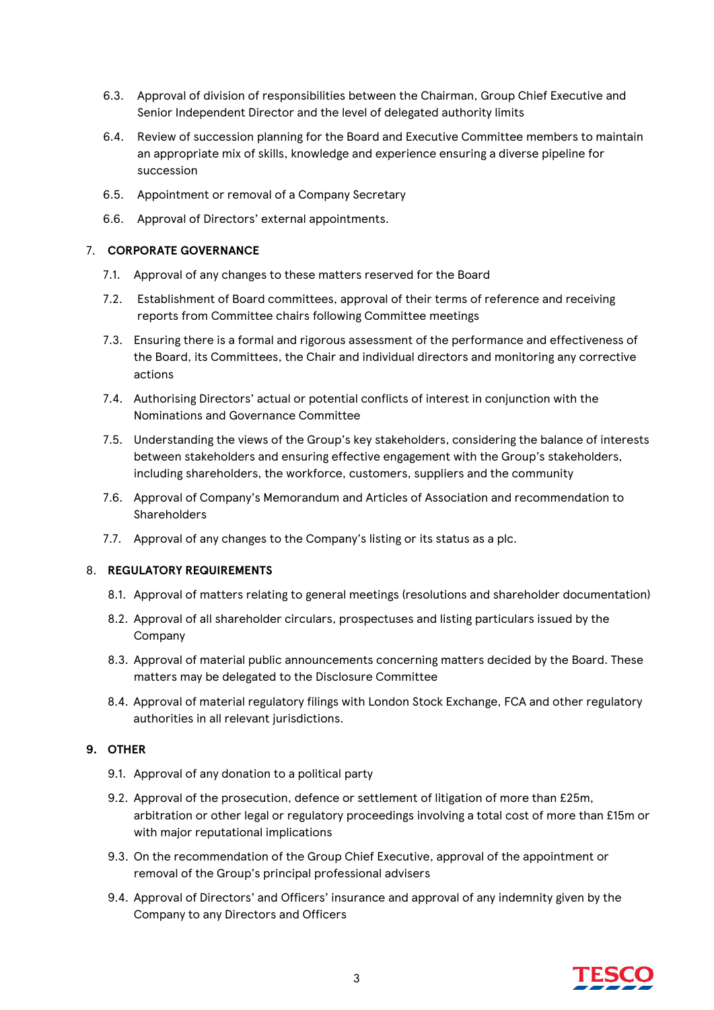- 6.3. Approval of division of responsibilities between the Chairman, Group Chief Executive and Senior Independent Director and the level of delegated authority limits
- 6.4. Review of succession planning for the Board and Executive Committee members to maintain an appropriate mix of skills, knowledge and experience ensuring a diverse pipeline for succession
- 6.5. Appointment or removal of a Company Secretary
- 6.6. Approval of Directors' external appointments.

#### 7. **CORPORATE GOVERNANCE**

- 7.1. Approval of any changes to these matters reserved for the Board
- 7.2. Establishment of Board committees, approval of their terms of reference and receiving reports from Committee chairs following Committee meetings
- 7.3. Ensuring there is a formal and rigorous assessment of the performance and effectiveness of the Board, its Committees, the Chair and individual directors and monitoring any corrective actions
- 7.4. Authorising Directors' actual or potential conflicts of interest in conjunction with the Nominations and Governance Committee
- 7.5. Understanding the views of the Group's key stakeholders, considering the balance of interests between stakeholders and ensuring effective engagement with the Group's stakeholders, including shareholders, the workforce, customers, suppliers and the community
- 7.6. Approval of Company's Memorandum and Articles of Association and recommendation to Shareholders
- 7.7. Approval of any changes to the Company's listing or its status as a plc.

#### 8. **REGULATORY REQUIREMENTS**

- 8.1. Approval of matters relating to general meetings (resolutions and shareholder documentation)
- 8.2. Approval of all shareholder circulars, prospectuses and listing particulars issued by the Company
- 8.3. Approval of material public announcements concerning matters decided by the Board. These matters may be delegated to the Disclosure Committee
- 8.4. Approval of material regulatory filings with London Stock Exchange, FCA and other regulatory authorities in all relevant jurisdictions.

### **9. OTHER**

- 9.1. Approval of any donation to a political party
- 9.2. Approval of the prosecution, defence or settlement of litigation of more than £25m, arbitration or other legal or regulatory proceedings involving a total cost of more than £15m or with major reputational implications
- 9.3. On the recommendation of the Group Chief Executive, approval of the appointment or removal of the Group's principal professional advisers
- 9.4. Approval of Directors' and Officers' insurance and approval of any indemnity given by the Company to any Directors and Officers